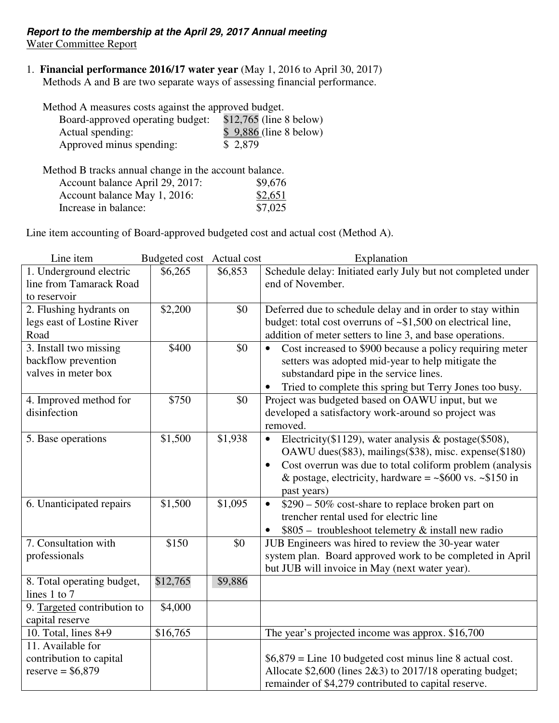#### **Report to the membership at the April 29, 2017 Annual meeting** Water Committee Report

#### 1. **Financial performance 2016/17 water year** (May 1, 2016 to April 30, 2017) Methods A and B are two separate ways of assessing financial performance.

Method A measures costs against the approved budget.

| Board-approved operating budget: | $$12,765$ (line 8 below) |
|----------------------------------|--------------------------|
| Actual spending:                 | $$9,886$ (line 8 below)  |
| Approved minus spending:         | \$ 2,879                 |

Method B tracks annual change in the account balance. Account balance April 29, 2017: \$9,676<br>Account balance May 1, 2016: \$2,651 Account balance May 1, 2016:  $\frac{$2,651}{27,025}$ Increase in balance:

Line item accounting of Board-approved budgeted cost and actual cost (Method A).

| Line item                                  | Budgeted cost Actual cost |         | Explanation                                                                                             |
|--------------------------------------------|---------------------------|---------|---------------------------------------------------------------------------------------------------------|
| 1. Underground electric                    | \$6,265                   | \$6,853 | Schedule delay: Initiated early July but not completed under                                            |
| line from Tamarack Road                    |                           |         | end of November.                                                                                        |
| to reservoir                               |                           |         |                                                                                                         |
| 2. Flushing hydrants on                    | \$2,200                   | \$0     | Deferred due to schedule delay and in order to stay within                                              |
| legs east of Lostine River                 |                           |         | budget: total cost overruns of $\sim$ \$1,500 on electrical line,                                       |
| Road                                       |                           |         | addition of meter setters to line 3, and base operations.                                               |
| 3. Install two missing                     | \$400                     | \$0     | Cost increased to \$900 because a policy requiring meter<br>$\bullet$                                   |
| backflow prevention<br>valves in meter box |                           |         | setters was adopted mid-year to help mitigate the                                                       |
|                                            |                           |         | substandard pipe in the service lines.                                                                  |
|                                            |                           |         | Tried to complete this spring but Terry Jones too busy.                                                 |
| 4. Improved method for<br>disinfection     | \$750                     | \$0     | Project was budgeted based on OAWU input, but we<br>developed a satisfactory work-around so project was |
|                                            |                           |         | removed.                                                                                                |
| 5. Base operations                         | \$1,500                   | \$1,938 | Electricity(\$1129), water analysis $\&$ postage(\$508),<br>$\bullet$                                   |
|                                            |                           |         | OAWU dues(\$83), mailings(\$38), misc. expense(\$180)                                                   |
|                                            |                           |         | Cost overrun was due to total coliform problem (analysis<br>$\bullet$                                   |
|                                            |                           |         | & postage, electricity, hardware = $\sim$ \$600 vs. $\sim$ \$150 in                                     |
|                                            |                           |         | past years)                                                                                             |
| 6. Unanticipated repairs                   | \$1,500                   | \$1,095 | \$290 – 50% cost-share to replace broken part on<br>$\bullet$                                           |
|                                            |                           |         | trencher rental used for electric line                                                                  |
|                                            |                           |         | \$805 - troubleshoot telemetry & install new radio                                                      |
| 7. Consultation with                       | \$150                     | \$0     | JUB Engineers was hired to review the 30-year water                                                     |
| professionals                              |                           |         | system plan. Board approved work to be completed in April                                               |
|                                            |                           |         | but JUB will invoice in May (next water year).                                                          |
| 8. Total operating budget,                 | \$12,765                  | \$9,886 |                                                                                                         |
| lines 1 to 7                               |                           |         |                                                                                                         |
| 9. Targeted contribution to                | \$4,000                   |         |                                                                                                         |
| capital reserve                            |                           |         |                                                                                                         |
| 10. Total, lines $8+9$                     | \$16,765                  |         | The year's projected income was approx. \$16,700                                                        |
| 11. Available for                          |                           |         |                                                                                                         |
| contribution to capital                    |                           |         | $$6,879 =$ Line 10 budgeted cost minus line 8 actual cost.                                              |
| $reserve = $6,879$                         |                           |         | Allocate \$2,600 (lines 2&3) to 2017/18 operating budget;                                               |
|                                            |                           |         | remainder of \$4,279 contributed to capital reserve.                                                    |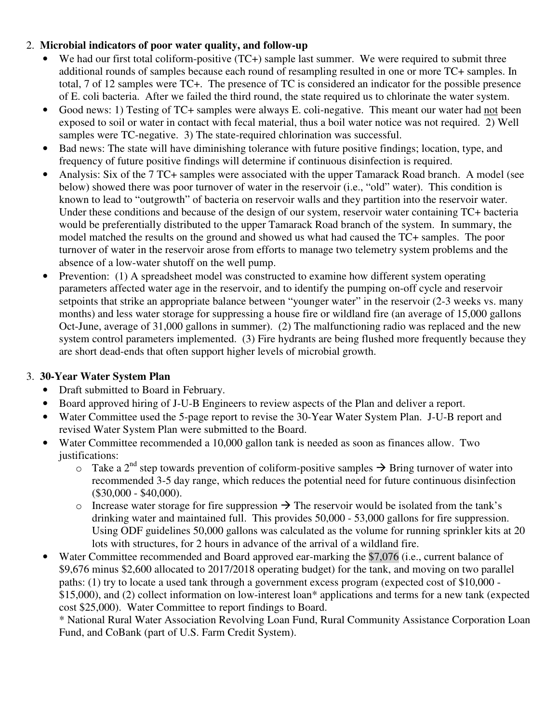### 2. **Microbial indicators of poor water quality, and follow-up**

- We had our first total coliform-positive (TC+) sample last summer. We were required to submit three additional rounds of samples because each round of resampling resulted in one or more TC+ samples. In total, 7 of 12 samples were TC+. The presence of TC is considered an indicator for the possible presence of E. coli bacteria. After we failed the third round, the state required us to chlorinate the water system.
- Good news: 1) Testing of TC+ samples were always E. coli-negative. This meant our water had not been exposed to soil or water in contact with fecal material, thus a boil water notice was not required. 2) Well samples were TC-negative. 3) The state-required chlorination was successful.
- Bad news: The state will have diminishing tolerance with future positive findings; location, type, and frequency of future positive findings will determine if continuous disinfection is required.
- Analysis: Six of the 7 TC+ samples were associated with the upper Tamarack Road branch. A model (see below) showed there was poor turnover of water in the reservoir (i.e., "old" water). This condition is known to lead to "outgrowth" of bacteria on reservoir walls and they partition into the reservoir water. Under these conditions and because of the design of our system, reservoir water containing TC+ bacteria would be preferentially distributed to the upper Tamarack Road branch of the system. In summary, the model matched the results on the ground and showed us what had caused the TC+ samples. The poor turnover of water in the reservoir arose from efforts to manage two telemetry system problems and the absence of a low-water shutoff on the well pump.
- Prevention: (1) A spreadsheet model was constructed to examine how different system operating parameters affected water age in the reservoir, and to identify the pumping on-off cycle and reservoir setpoints that strike an appropriate balance between "younger water" in the reservoir (2-3 weeks vs. many months) and less water storage for suppressing a house fire or wildland fire (an average of 15,000 gallons Oct-June, average of 31,000 gallons in summer). (2) The malfunctioning radio was replaced and the new system control parameters implemented. (3) Fire hydrants are being flushed more frequently because they are short dead-ends that often support higher levels of microbial growth.

# 3. **30-Year Water System Plan**

- Draft submitted to Board in February.
- Board approved hiring of J-U-B Engineers to review aspects of the Plan and deliver a report.
- Water Committee used the 5-page report to revise the 30-Year Water System Plan. J-U-B report and revised Water System Plan were submitted to the Board.
- Water Committee recommended a 10,000 gallon tank is needed as soon as finances allow. Two justifications:
	- $\circ$  Take a 2<sup>nd</sup> step towards prevention of coliform-positive samples  $\rightarrow$  Bring turnover of water into recommended 3-5 day range, which reduces the potential need for future continuous disinfection (\$30,000 - \$40,000).
	- o Increase water storage for fire suppression  $\rightarrow$  The reservoir would be isolated from the tank's drinking water and maintained full. This provides 50,000 - 53,000 gallons for fire suppression. Using ODF guidelines 50,000 gallons was calculated as the volume for running sprinkler kits at 20 lots with structures, for 2 hours in advance of the arrival of a wildland fire.
- Water Committee recommended and Board approved ear-marking the \$7,076 (i.e., current balance of \$9,676 minus \$2,600 allocated to 2017/2018 operating budget) for the tank, and moving on two parallel paths: (1) try to locate a used tank through a government excess program (expected cost of \$10,000 - \$15,000), and (2) collect information on low-interest loan\* applications and terms for a new tank (expected cost \$25,000). Water Committee to report findings to Board.

\* National Rural Water Association Revolving Loan Fund, Rural Community Assistance Corporation Loan Fund, and CoBank (part of U.S. Farm Credit System).